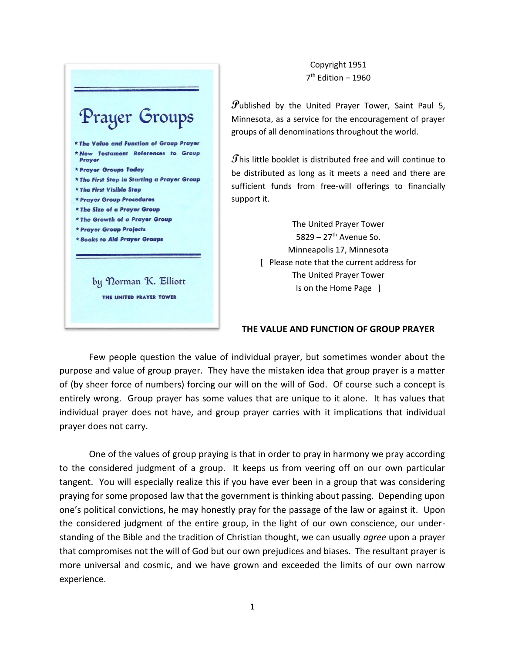

Copyright 1951 7 th Edition – 1960

**P**ublished by the United Prayer Tower, Saint Paul 5, Minnesota, as a service for the encouragement of prayer groups of all denominations throughout the world.

**T**his little booklet is distributed free and will continue to be distributed as long as it meets a need and there are sufficient funds from free-will offerings to financially

> The United Prayer Tower 5829 – 27<sup>th</sup> Avenue So. Minneapolis 17, Minnesota [ Please note that the current address for The United Prayer Tower Is on the Home Page ]

### **THE VALUE AND FUNCTION OF GROUP PRAYER**

Few people question the value of individual prayer, but sometimes wonder about the purpose and value of group prayer. They have the mistaken idea that group prayer is a matter of (by sheer force of numbers) forcing our will on the will of God. Of course such a concept is entirely wrong. Group prayer has some values that are unique to it alone. It has values that individual prayer does not have, and group prayer carries with it implications that individual prayer does not carry.

One of the values of group praying is that in order to pray in harmony we pray according to the considered judgment of a group. It keeps us from veering off on our own particular tangent. You will especially realize this if you have ever been in a group that was considering praying for some proposed law that the government is thinking about passing. Depending upon one's political convictions, he may honestly pray for the passage of the law or against it. Upon the considered judgment of the entire group, in the light of our own conscience, our understanding of the Bible and the tradition of Christian thought, we can usually *agree* upon a prayer that compromises not the will of God but our own prejudices and biases. The resultant prayer is more universal and cosmic, and we have grown and exceeded the limits of our own narrow experience.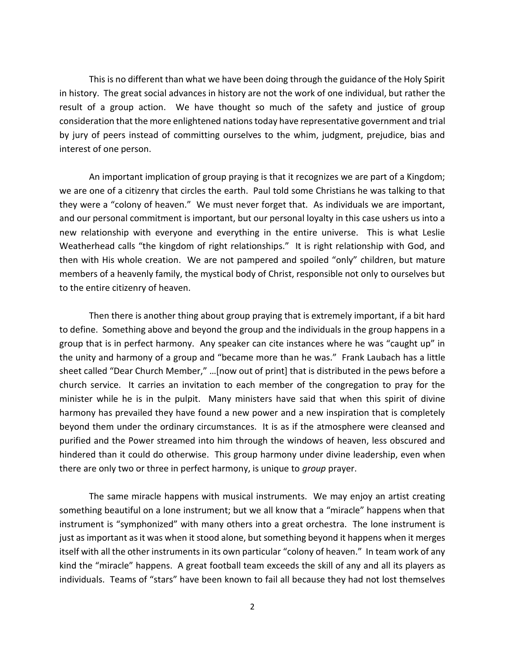This is no different than what we have been doing through the guidance of the Holy Spirit in history. The great social advances in history are not the work of one individual, but rather the result of a group action. We have thought so much of the safety and justice of group consideration that the more enlightened nations today have representative government and trial by jury of peers instead of committing ourselves to the whim, judgment, prejudice, bias and interest of one person.

An important implication of group praying is that it recognizes we are part of a Kingdom; we are one of a citizenry that circles the earth. Paul told some Christians he was talking to that they were a "colony of heaven." We must never forget that. As individuals we are important, and our personal commitment is important, but our personal loyalty in this case ushers us into a new relationship with everyone and everything in the entire universe. This is what Leslie Weatherhead calls "the kingdom of right relationships." It is right relationship with God, and then with His whole creation. We are not pampered and spoiled "only" children, but mature members of a heavenly family, the mystical body of Christ, responsible not only to ourselves but to the entire citizenry of heaven.

Then there is another thing about group praying that is extremely important, if a bit hard to define. Something above and beyond the group and the individuals in the group happens in a group that is in perfect harmony. Any speaker can cite instances where he was "caught up" in the unity and harmony of a group and "became more than he was." Frank Laubach has a little sheet called "Dear Church Member," …[now out of print] that is distributed in the pews before a church service. It carries an invitation to each member of the congregation to pray for the minister while he is in the pulpit. Many ministers have said that when this spirit of divine harmony has prevailed they have found a new power and a new inspiration that is completely beyond them under the ordinary circumstances. It is as if the atmosphere were cleansed and purified and the Power streamed into him through the windows of heaven, less obscured and hindered than it could do otherwise. This group harmony under divine leadership, even when there are only two or three in perfect harmony, is unique to *group* prayer.

The same miracle happens with musical instruments. We may enjoy an artist creating something beautiful on a lone instrument; but we all know that a "miracle" happens when that instrument is "symphonized" with many others into a great orchestra. The lone instrument is just as important as it was when it stood alone, but something beyond it happens when it merges itself with all the other instruments in its own particular "colony of heaven." In team work of any kind the "miracle" happens. A great football team exceeds the skill of any and all its players as individuals. Teams of "stars" have been known to fail all because they had not lost themselves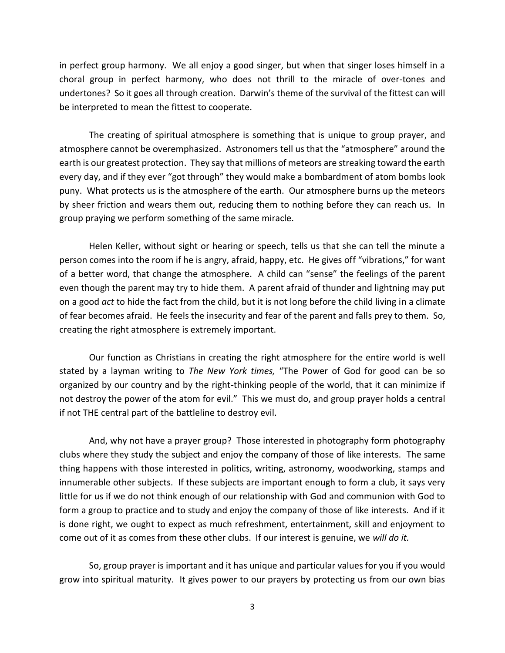in perfect group harmony. We all enjoy a good singer, but when that singer loses himself in a choral group in perfect harmony, who does not thrill to the miracle of over-tones and undertones? So it goes all through creation. Darwin's theme of the survival of the fittest can will be interpreted to mean the fittest to cooperate.

The creating of spiritual atmosphere is something that is unique to group prayer, and atmosphere cannot be overemphasized. Astronomers tell us that the "atmosphere" around the earth is our greatest protection. They say that millions of meteors are streaking toward the earth every day, and if they ever "got through" they would make a bombardment of atom bombs look puny. What protects us is the atmosphere of the earth. Our atmosphere burns up the meteors by sheer friction and wears them out, reducing them to nothing before they can reach us. In group praying we perform something of the same miracle.

Helen Keller, without sight or hearing or speech, tells us that she can tell the minute a person comes into the room if he is angry, afraid, happy, etc. He gives off "vibrations," for want of a better word, that change the atmosphere. A child can "sense" the feelings of the parent even though the parent may try to hide them. A parent afraid of thunder and lightning may put on a good *act* to hide the fact from the child, but it is not long before the child living in a climate of fear becomes afraid. He feels the insecurity and fear of the parent and falls prey to them. So, creating the right atmosphere is extremely important.

Our function as Christians in creating the right atmosphere for the entire world is well stated by a layman writing to *The New York times,* "The Power of God for good can be so organized by our country and by the right-thinking people of the world, that it can minimize if not destroy the power of the atom for evil." This we must do, and group prayer holds a central if not THE central part of the battleline to destroy evil.

And, why not have a prayer group? Those interested in photography form photography clubs where they study the subject and enjoy the company of those of like interests. The same thing happens with those interested in politics, writing, astronomy, woodworking, stamps and innumerable other subjects. If these subjects are important enough to form a club, it says very little for us if we do not think enough of our relationship with God and communion with God to form a group to practice and to study and enjoy the company of those of like interests. And if it is done right, we ought to expect as much refreshment, entertainment, skill and enjoyment to come out of it as comes from these other clubs. If our interest is genuine, we *will do it.*

So, group prayer is important and it has unique and particular values for you if you would grow into spiritual maturity. It gives power to our prayers by protecting us from our own bias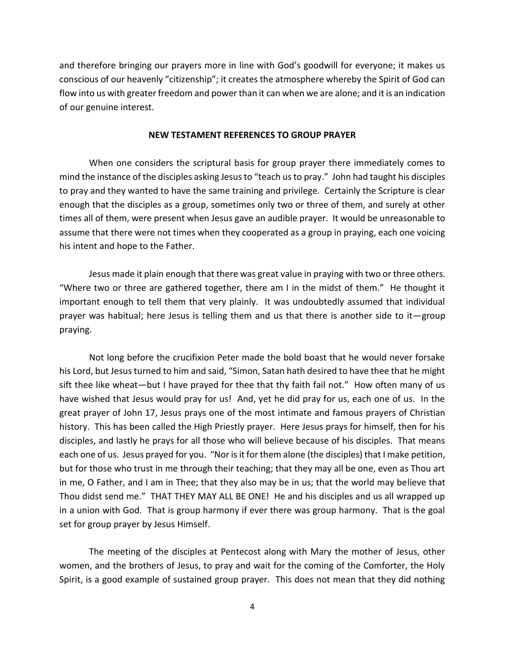and therefore bringing our prayers more in line with God's goodwill for everyone; it makes us conscious of our heavenly "citizenship"; it creates the atmosphere whereby the Spirit of God can flow into us with greater freedom and power than it can when we are alone; and it is an indication of our genuine interest.

### **NEW TESTAMENT REFERENCES TO GROUP PRAYER**

When one considers the scriptural basis for group prayer there immediately comes to mind the instance of the disciples asking Jesus to "teach us to pray." John had taught his disciples to pray and they wanted to have the same training and privilege. Certainly the Scripture is clear enough that the disciples as a group, sometimes only two or three of them, and surely at other times all of them, were present when Jesus gave an audible prayer. It would be unreasonable to assume that there were not times when they cooperated as a group in praying, each one voicing his intent and hope to the Father.

Jesus made it plain enough that there was great value in praying with two or three others. "Where two or three are gathered together, there am I in the midst of them." He thought it important enough to tell them that very plainly. It was undoubtedly assumed that individual prayer was habitual; here Jesus is telling them and us that there is another side to it—group praying.

Not long before the crucifixion Peter made the bold boast that he would never forsake his Lord, but Jesus turned to him and said, "Simon, Satan hath desired to have thee that he might sift thee like wheat—but I have prayed for thee that thy faith fail not." How often many of us have wished that Jesus would pray for us! And, yet he did pray for us, each one of us. In the great prayer of John 17, Jesus prays one of the most intimate and famous prayers of Christian history. This has been called the High Priestly prayer. Here Jesus prays for himself, then for his disciples, and lastly he prays for all those who will believe because of his disciples. That means each one of us. Jesus prayed for you. "Nor is it for them alone (the disciples) that I make petition, but for those who trust in me through their teaching; that they may all be one, even as Thou art in me, O Father, and I am in Thee; that they also may be in us; that the world may believe that Thou didst send me." THAT THEY MAY ALL BE ONE! He and his disciples and us all wrapped up in a union with God. That is group harmony if ever there was group harmony. That is the goal set for group prayer by Jesus Himself.

The meeting of the disciples at Pentecost along with Mary the mother of Jesus, other women, and the brothers of Jesus, to pray and wait for the coming of the Comforter, the Holy Spirit, is a good example of sustained group prayer. This does not mean that they did nothing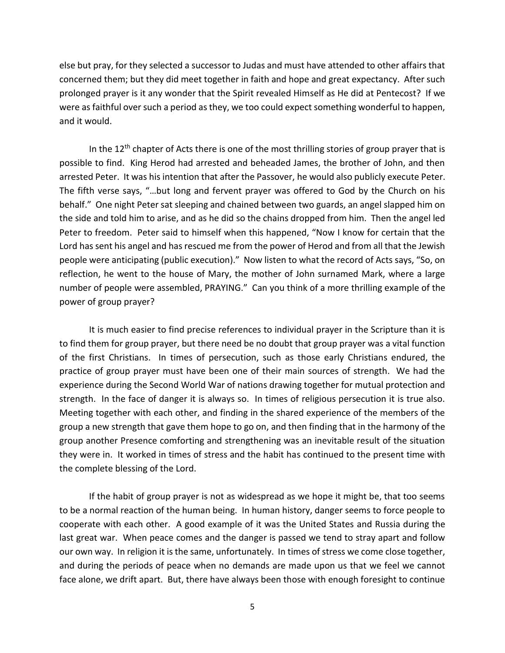else but pray, for they selected a successor to Judas and must have attended to other affairs that concerned them; but they did meet together in faith and hope and great expectancy. After such prolonged prayer is it any wonder that the Spirit revealed Himself as He did at Pentecost? If we were as faithful over such a period as they, we too could expect something wonderful to happen, and it would.

In the  $12<sup>th</sup>$  chapter of Acts there is one of the most thrilling stories of group prayer that is possible to find. King Herod had arrested and beheaded James, the brother of John, and then arrested Peter. It was his intention that after the Passover, he would also publicly execute Peter. The fifth verse says, "…but long and fervent prayer was offered to God by the Church on his behalf." One night Peter sat sleeping and chained between two guards, an angel slapped him on the side and told him to arise, and as he did so the chains dropped from him. Then the angel led Peter to freedom. Peter said to himself when this happened, "Now I know for certain that the Lord has sent his angel and has rescued me from the power of Herod and from all that the Jewish people were anticipating (public execution)." Now listen to what the record of Acts says, "So, on reflection, he went to the house of Mary, the mother of John surnamed Mark, where a large number of people were assembled, PRAYING." Can you think of a more thrilling example of the power of group prayer?

It is much easier to find precise references to individual prayer in the Scripture than it is to find them for group prayer, but there need be no doubt that group prayer was a vital function of the first Christians. In times of persecution, such as those early Christians endured, the practice of group prayer must have been one of their main sources of strength. We had the experience during the Second World War of nations drawing together for mutual protection and strength. In the face of danger it is always so. In times of religious persecution it is true also. Meeting together with each other, and finding in the shared experience of the members of the group a new strength that gave them hope to go on, and then finding that in the harmony of the group another Presence comforting and strengthening was an inevitable result of the situation they were in. It worked in times of stress and the habit has continued to the present time with the complete blessing of the Lord.

If the habit of group prayer is not as widespread as we hope it might be, that too seems to be a normal reaction of the human being. In human history, danger seems to force people to cooperate with each other. A good example of it was the United States and Russia during the last great war. When peace comes and the danger is passed we tend to stray apart and follow our own way. In religion it is the same, unfortunately. In times of stress we come close together, and during the periods of peace when no demands are made upon us that we feel we cannot face alone, we drift apart. But, there have always been those with enough foresight to continue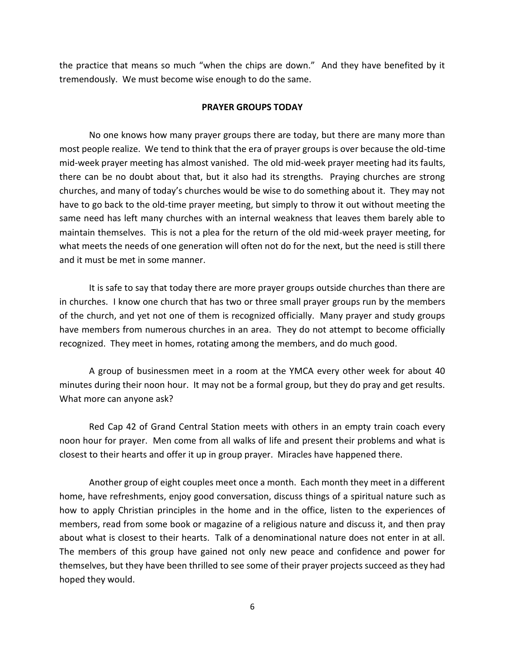the practice that means so much "when the chips are down." And they have benefited by it tremendously. We must become wise enough to do the same.

### **PRAYER GROUPS TODAY**

No one knows how many prayer groups there are today, but there are many more than most people realize. We tend to think that the era of prayer groups is over because the old-time mid-week prayer meeting has almost vanished. The old mid-week prayer meeting had its faults, there can be no doubt about that, but it also had its strengths. Praying churches are strong churches, and many of today's churches would be wise to do something about it. They may not have to go back to the old-time prayer meeting, but simply to throw it out without meeting the same need has left many churches with an internal weakness that leaves them barely able to maintain themselves. This is not a plea for the return of the old mid-week prayer meeting, for what meets the needs of one generation will often not do for the next, but the need is still there and it must be met in some manner.

It is safe to say that today there are more prayer groups outside churches than there are in churches. I know one church that has two or three small prayer groups run by the members of the church, and yet not one of them is recognized officially. Many prayer and study groups have members from numerous churches in an area. They do not attempt to become officially recognized. They meet in homes, rotating among the members, and do much good.

A group of businessmen meet in a room at the YMCA every other week for about 40 minutes during their noon hour. It may not be a formal group, but they do pray and get results. What more can anyone ask?

Red Cap 42 of Grand Central Station meets with others in an empty train coach every noon hour for prayer. Men come from all walks of life and present their problems and what is closest to their hearts and offer it up in group prayer. Miracles have happened there.

Another group of eight couples meet once a month. Each month they meet in a different home, have refreshments, enjoy good conversation, discuss things of a spiritual nature such as how to apply Christian principles in the home and in the office, listen to the experiences of members, read from some book or magazine of a religious nature and discuss it, and then pray about what is closest to their hearts. Talk of a denominational nature does not enter in at all. The members of this group have gained not only new peace and confidence and power for themselves, but they have been thrilled to see some of their prayer projects succeed as they had hoped they would.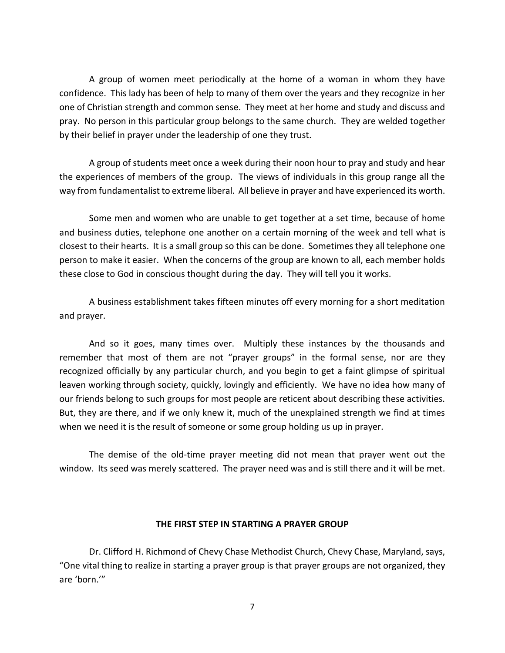A group of women meet periodically at the home of a woman in whom they have confidence. This lady has been of help to many of them over the years and they recognize in her one of Christian strength and common sense. They meet at her home and study and discuss and pray. No person in this particular group belongs to the same church. They are welded together by their belief in prayer under the leadership of one they trust.

A group of students meet once a week during their noon hour to pray and study and hear the experiences of members of the group. The views of individuals in this group range all the way from fundamentalist to extreme liberal. All believe in prayer and have experienced its worth.

Some men and women who are unable to get together at a set time, because of home and business duties, telephone one another on a certain morning of the week and tell what is closest to their hearts. It is a small group so this can be done. Sometimes they all telephone one person to make it easier. When the concerns of the group are known to all, each member holds these close to God in conscious thought during the day. They will tell you it works.

A business establishment takes fifteen minutes off every morning for a short meditation and prayer.

And so it goes, many times over. Multiply these instances by the thousands and remember that most of them are not "prayer groups" in the formal sense, nor are they recognized officially by any particular church, and you begin to get a faint glimpse of spiritual leaven working through society, quickly, lovingly and efficiently. We have no idea how many of our friends belong to such groups for most people are reticent about describing these activities. But, they are there, and if we only knew it, much of the unexplained strength we find at times when we need it is the result of someone or some group holding us up in prayer.

The demise of the old-time prayer meeting did not mean that prayer went out the window. Its seed was merely scattered. The prayer need was and is still there and it will be met.

## **THE FIRST STEP IN STARTING A PRAYER GROUP**

Dr. Clifford H. Richmond of Chevy Chase Methodist Church, Chevy Chase, Maryland, says, "One vital thing to realize in starting a prayer group is that prayer groups are not organized, they are 'born.'"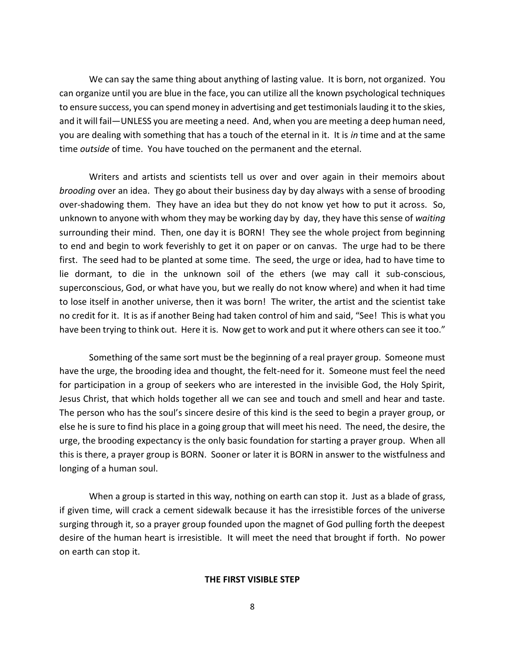We can say the same thing about anything of lasting value. It is born, not organized. You can organize until you are blue in the face, you can utilize all the known psychological techniques to ensure success, you can spend money in advertising and get testimonials lauding it to the skies, and it will fail—UNLESS you are meeting a need. And, when you are meeting a deep human need, you are dealing with something that has a touch of the eternal in it. It is *in* time and at the same time *outside* of time. You have touched on the permanent and the eternal.

Writers and artists and scientists tell us over and over again in their memoirs about *brooding* over an idea. They go about their business day by day always with a sense of brooding over-shadowing them. They have an idea but they do not know yet how to put it across. So, unknown to anyone with whom they may be working day by day, they have this sense of *waiting* surrounding their mind. Then, one day it is BORN! They see the whole project from beginning to end and begin to work feverishly to get it on paper or on canvas. The urge had to be there first. The seed had to be planted at some time. The seed, the urge or idea, had to have time to lie dormant, to die in the unknown soil of the ethers (we may call it sub-conscious, superconscious, God, or what have you, but we really do not know where) and when it had time to lose itself in another universe, then it was born! The writer, the artist and the scientist take no credit for it. It is as if another Being had taken control of him and said, "See! This is what you have been trying to think out. Here it is. Now get to work and put it where others can see it too."

Something of the same sort must be the beginning of a real prayer group. Someone must have the urge, the brooding idea and thought, the felt-need for it. Someone must feel the need for participation in a group of seekers who are interested in the invisible God, the Holy Spirit, Jesus Christ, that which holds together all we can see and touch and smell and hear and taste. The person who has the soul's sincere desire of this kind is the seed to begin a prayer group, or else he is sure to find his place in a going group that will meet his need. The need, the desire, the urge, the brooding expectancy is the only basic foundation for starting a prayer group. When all this is there, a prayer group is BORN. Sooner or later it is BORN in answer to the wistfulness and longing of a human soul.

When a group is started in this way, nothing on earth can stop it. Just as a blade of grass, if given time, will crack a cement sidewalk because it has the irresistible forces of the universe surging through it, so a prayer group founded upon the magnet of God pulling forth the deepest desire of the human heart is irresistible. It will meet the need that brought if forth. No power on earth can stop it.

### **THE FIRST VISIBLE STEP**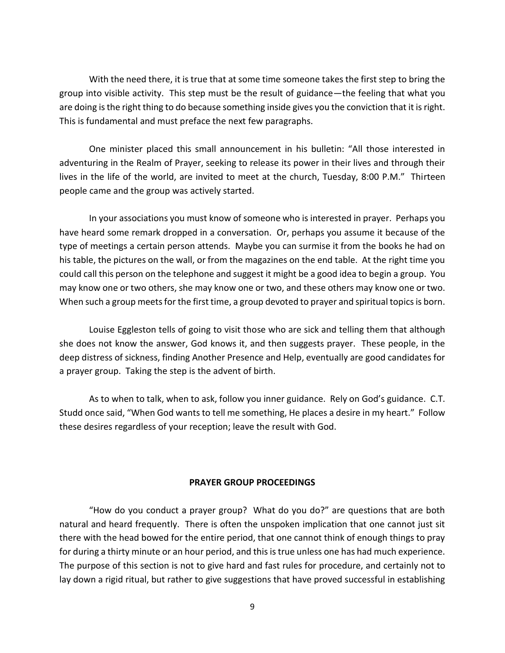With the need there, it is true that at some time someone takes the first step to bring the group into visible activity. This step must be the result of guidance—the feeling that what you are doing is the right thing to do because something inside gives you the conviction that it is right. This is fundamental and must preface the next few paragraphs.

One minister placed this small announcement in his bulletin: "All those interested in adventuring in the Realm of Prayer, seeking to release its power in their lives and through their lives in the life of the world, are invited to meet at the church, Tuesday, 8:00 P.M." Thirteen people came and the group was actively started.

In your associations you must know of someone who is interested in prayer. Perhaps you have heard some remark dropped in a conversation. Or, perhaps you assume it because of the type of meetings a certain person attends. Maybe you can surmise it from the books he had on his table, the pictures on the wall, or from the magazines on the end table. At the right time you could call this person on the telephone and suggest it might be a good idea to begin a group. You may know one or two others, she may know one or two, and these others may know one or two. When such a group meets for the first time, a group devoted to prayer and spiritual topics is born.

Louise Eggleston tells of going to visit those who are sick and telling them that although she does not know the answer, God knows it, and then suggests prayer. These people, in the deep distress of sickness, finding Another Presence and Help, eventually are good candidates for a prayer group. Taking the step is the advent of birth.

As to when to talk, when to ask, follow you inner guidance. Rely on God's guidance. C.T. Studd once said, "When God wants to tell me something, He places a desire in my heart." Follow these desires regardless of your reception; leave the result with God.

## **PRAYER GROUP PROCEEDINGS**

"How do you conduct a prayer group? What do you do?" are questions that are both natural and heard frequently. There is often the unspoken implication that one cannot just sit there with the head bowed for the entire period, that one cannot think of enough things to pray for during a thirty minute or an hour period, and this is true unless one has had much experience. The purpose of this section is not to give hard and fast rules for procedure, and certainly not to lay down a rigid ritual, but rather to give suggestions that have proved successful in establishing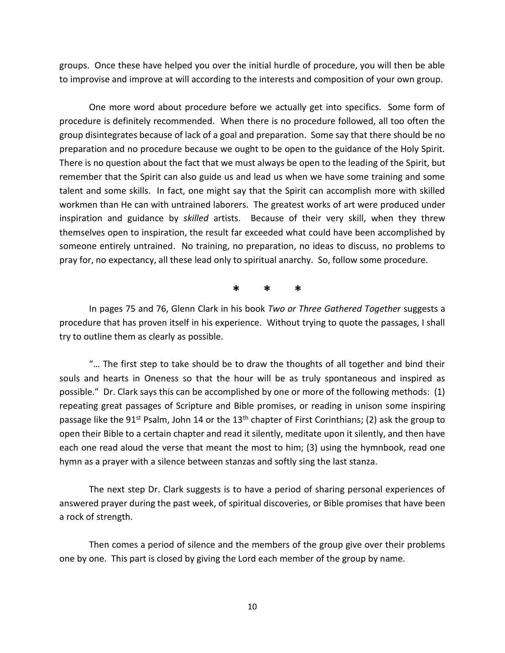groups. Once these have helped you over the initial hurdle of procedure, you will then be able to improvise and improve at will according to the interests and composition of your own group.

One more word about procedure before we actually get into specifics. Some form of procedure is definitely recommended. When there is no procedure followed, all too often the group disintegrates because of lack of a goal and preparation. Some say that there should be no preparation and no procedure because we ought to be open to the guidance of the Holy Spirit. There is no question about the fact that we must always be open to the leading of the Spirit, but remember that the Spirit can also guide us and lead us when we have some training and some talent and some skills. In fact, one might say that the Spirit can accomplish more with skilled workmen than He can with untrained laborers. The greatest works of art were produced under inspiration and guidance by *skilled* artists. Because of their very skill, when they threw themselves open to inspiration, the result far exceeded what could have been accomplished by someone entirely untrained. No training, no preparation, no ideas to discuss, no problems to pray for, no expectancy, all these lead only to spiritual anarchy. So, follow some procedure.

**\* \* \***

In pages 75 and 76, Glenn Clark in his book *Two or Three Gathered Together* suggests a procedure that has proven itself in his experience. Without trying to quote the passages, I shall try to outline them as clearly as possible.

"… The first step to take should be to draw the thoughts of all together and bind their souls and hearts in Oneness so that the hour will be as truly spontaneous and inspired as possible." Dr. Clark says this can be accomplished by one or more of the following methods: (1) repeating great passages of Scripture and Bible promises, or reading in unison some inspiring passage like the 91<sup>st</sup> Psalm, John 14 or the 13<sup>th</sup> chapter of First Corinthians; (2) ask the group to open their Bible to a certain chapter and read it silently, meditate upon it silently, and then have each one read aloud the verse that meant the most to him; (3) using the hymnbook, read one hymn as a prayer with a silence between stanzas and softly sing the last stanza.

The next step Dr. Clark suggests is to have a period of sharing personal experiences of answered prayer during the past week, of spiritual discoveries, or Bible promises that have been a rock of strength.

Then comes a period of silence and the members of the group give over their problems one by one. This part is closed by giving the Lord each member of the group by name.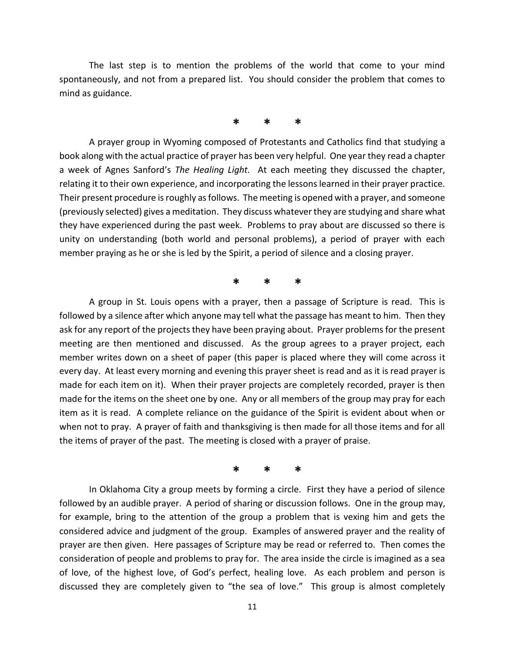The last step is to mention the problems of the world that come to your mind spontaneously, and not from a prepared list. You should consider the problem that comes to mind as guidance.

# **\* \* \***

A prayer group in Wyoming composed of Protestants and Catholics find that studying a book along with the actual practice of prayer has been very helpful. One year they read a chapter a week of Agnes Sanford's *The Healing Light.* At each meeting they discussed the chapter, relating it to their own experience, and incorporating the lessons learned in their prayer practice. Their present procedure is roughly as follows. The meeting is opened with a prayer, and someone (previously selected) gives a meditation. They discuss whatever they are studying and share what they have experienced during the past week. Problems to pray about are discussed so there is unity on understanding (both world and personal problems), a period of prayer with each member praying as he or she is led by the Spirit, a period of silence and a closing prayer.

# **\* \* \***

A group in St. Louis opens with a prayer, then a passage of Scripture is read. This is followed by a silence after which anyone may tell what the passage has meant to him. Then they ask for any report of the projects they have been praying about. Prayer problems for the present meeting are then mentioned and discussed. As the group agrees to a prayer project, each member writes down on a sheet of paper (this paper is placed where they will come across it every day. At least every morning and evening this prayer sheet is read and as it is read prayer is made for each item on it). When their prayer projects are completely recorded, prayer is then made for the items on the sheet one by one. Any or all members of the group may pray for each item as it is read. A complete reliance on the guidance of the Spirit is evident about when or when not to pray. A prayer of faith and thanksgiving is then made for all those items and for all the items of prayer of the past. The meeting is closed with a prayer of praise.

**\* \* \***

In Oklahoma City a group meets by forming a circle. First they have a period of silence followed by an audible prayer. A period of sharing or discussion follows. One in the group may, for example, bring to the attention of the group a problem that is vexing him and gets the considered advice and judgment of the group. Examples of answered prayer and the reality of prayer are then given. Here passages of Scripture may be read or referred to. Then comes the consideration of people and problems to pray for. The area inside the circle is imagined as a sea of love, of the highest love, of God's perfect, healing love. As each problem and person is discussed they are completely given to "the sea of love." This group is almost completely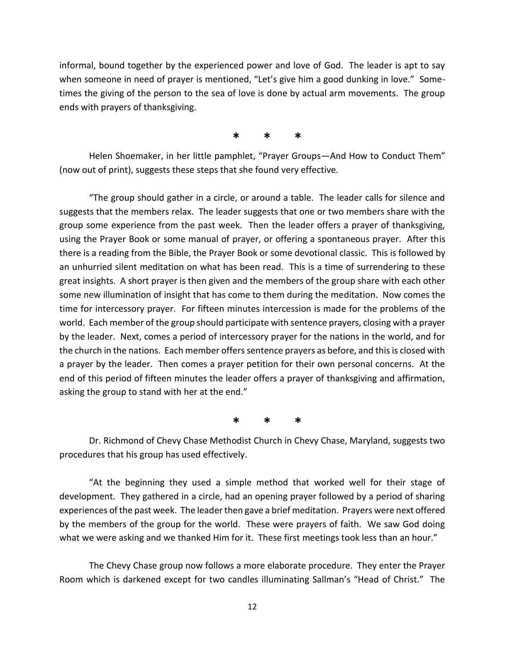informal, bound together by the experienced power and love of God. The leader is apt to say when someone in need of prayer is mentioned, "Let's give him a good dunking in love." Sometimes the giving of the person to the sea of love is done by actual arm movements. The group ends with prayers of thanksgiving.

**\* \* \***

Helen Shoemaker, in her little pamphlet, "Prayer Groups—And How to Conduct Them" (now out of print), suggests these steps that she found very effective.

"The group should gather in a circle, or around a table. The leader calls for silence and suggests that the members relax. The leader suggests that one or two members share with the group some experience from the past week. Then the leader offers a prayer of thanksgiving, using the Prayer Book or some manual of prayer, or offering a spontaneous prayer. After this there is a reading from the Bible, the Prayer Book or some devotional classic. This is followed by an unhurried silent meditation on what has been read. This is a time of surrendering to these great insights. A short prayer is then given and the members of the group share with each other some new illumination of insight that has come to them during the meditation. Now comes the time for intercessory prayer. For fifteen minutes intercession is made for the problems of the world. Each member of the group should participate with sentence prayers, closing with a prayer by the leader. Next, comes a period of intercessory prayer for the nations in the world, and for the church in the nations. Each member offers sentence prayers as before, and this is closed with a prayer by the leader. Then comes a prayer petition for their own personal concerns. At the end of this period of fifteen minutes the leader offers a prayer of thanksgiving and affirmation, asking the group to stand with her at the end."

**\* \* \***

Dr. Richmond of Chevy Chase Methodist Church in Chevy Chase, Maryland, suggests two procedures that his group has used effectively.

"At the beginning they used a simple method that worked well for their stage of development. They gathered in a circle, had an opening prayer followed by a period of sharing experiences of the past week. The leader then gave a brief meditation. Prayers were next offered by the members of the group for the world. These were prayers of faith. We saw God doing what we were asking and we thanked Him for it. These first meetings took less than an hour."

The Chevy Chase group now follows a more elaborate procedure. They enter the Prayer Room which is darkened except for two candles illuminating Sallman's "Head of Christ." The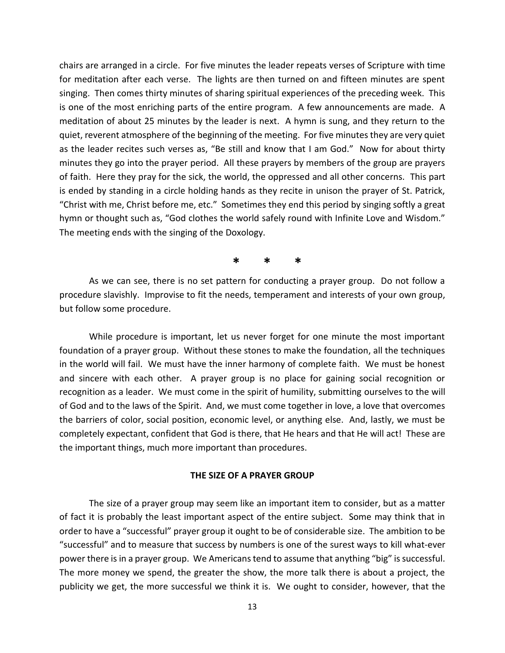chairs are arranged in a circle. For five minutes the leader repeats verses of Scripture with time for meditation after each verse. The lights are then turned on and fifteen minutes are spent singing. Then comes thirty minutes of sharing spiritual experiences of the preceding week. This is one of the most enriching parts of the entire program. A few announcements are made. A meditation of about 25 minutes by the leader is next. A hymn is sung, and they return to the quiet, reverent atmosphere of the beginning of the meeting. For five minutes they are very quiet as the leader recites such verses as, "Be still and know that I am God." Now for about thirty minutes they go into the prayer period. All these prayers by members of the group are prayers of faith. Here they pray for the sick, the world, the oppressed and all other concerns. This part is ended by standing in a circle holding hands as they recite in unison the prayer of St. Patrick, "Christ with me, Christ before me, etc." Sometimes they end this period by singing softly a great hymn or thought such as, "God clothes the world safely round with Infinite Love and Wisdom." The meeting ends with the singing of the Doxology.

**\* \* \***

As we can see, there is no set pattern for conducting a prayer group. Do not follow a procedure slavishly. Improvise to fit the needs, temperament and interests of your own group, but follow some procedure.

While procedure is important, let us never forget for one minute the most important foundation of a prayer group. Without these stones to make the foundation, all the techniques in the world will fail. We must have the inner harmony of complete faith. We must be honest and sincere with each other. A prayer group is no place for gaining social recognition or recognition as a leader. We must come in the spirit of humility, submitting ourselves to the will of God and to the laws of the Spirit. And, we must come together in love, a love that overcomes the barriers of color, social position, economic level, or anything else. And, lastly, we must be completely expectant, confident that God is there, that He hears and that He will act! These are the important things, much more important than procedures.

## **THE SIZE OF A PRAYER GROUP**

The size of a prayer group may seem like an important item to consider, but as a matter of fact it is probably the least important aspect of the entire subject. Some may think that in order to have a "successful" prayer group it ought to be of considerable size. The ambition to be "successful" and to measure that success by numbers is one of the surest ways to kill what-ever power there is in a prayer group. We Americans tend to assume that anything "big" is successful. The more money we spend, the greater the show, the more talk there is about a project, the publicity we get, the more successful we think it is. We ought to consider, however, that the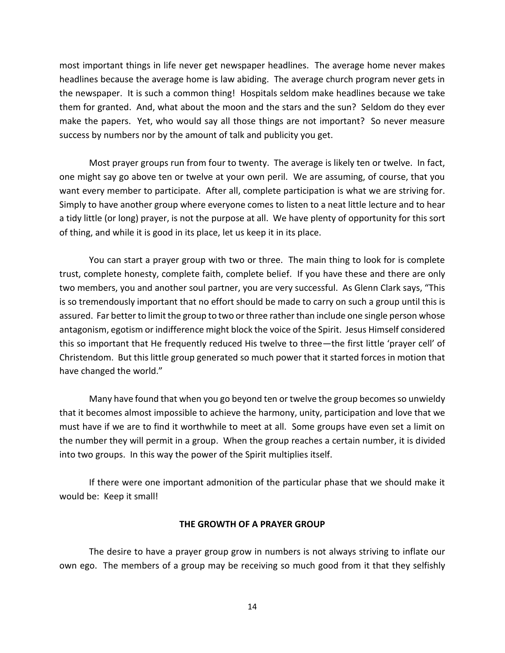most important things in life never get newspaper headlines. The average home never makes headlines because the average home is law abiding. The average church program never gets in the newspaper. It is such a common thing! Hospitals seldom make headlines because we take them for granted. And, what about the moon and the stars and the sun? Seldom do they ever make the papers. Yet, who would say all those things are not important? So never measure success by numbers nor by the amount of talk and publicity you get.

Most prayer groups run from four to twenty. The average is likely ten or twelve. In fact, one might say go above ten or twelve at your own peril. We are assuming, of course, that you want every member to participate. After all, complete participation is what we are striving for. Simply to have another group where everyone comes to listen to a neat little lecture and to hear a tidy little (or long) prayer, is not the purpose at all. We have plenty of opportunity for this sort of thing, and while it is good in its place, let us keep it in its place.

You can start a prayer group with two or three. The main thing to look for is complete trust, complete honesty, complete faith, complete belief. If you have these and there are only two members, you and another soul partner, you are very successful. As Glenn Clark says, "This is so tremendously important that no effort should be made to carry on such a group until this is assured. Far better to limit the group to two or three rather than include one single person whose antagonism, egotism or indifference might block the voice of the Spirit. Jesus Himself considered this so important that He frequently reduced His twelve to three—the first little 'prayer cell' of Christendom. But this little group generated so much power that it started forces in motion that have changed the world."

Many have found that when you go beyond ten or twelve the group becomes so unwieldy that it becomes almost impossible to achieve the harmony, unity, participation and love that we must have if we are to find it worthwhile to meet at all. Some groups have even set a limit on the number they will permit in a group. When the group reaches a certain number, it is divided into two groups. In this way the power of the Spirit multiplies itself.

If there were one important admonition of the particular phase that we should make it would be: Keep it small!

### **THE GROWTH OF A PRAYER GROUP**

The desire to have a prayer group grow in numbers is not always striving to inflate our own ego. The members of a group may be receiving so much good from it that they selfishly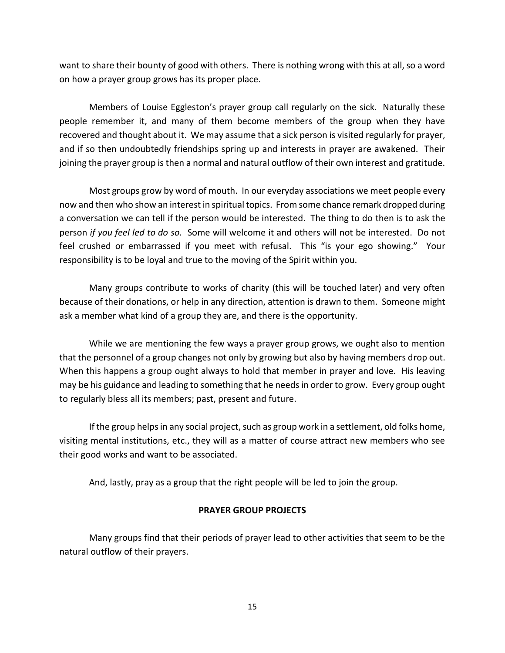want to share their bounty of good with others. There is nothing wrong with this at all, so a word on how a prayer group grows has its proper place.

Members of Louise Eggleston's prayer group call regularly on the sick. Naturally these people remember it, and many of them become members of the group when they have recovered and thought about it. We may assume that a sick person is visited regularly for prayer, and if so then undoubtedly friendships spring up and interests in prayer are awakened. Their joining the prayer group is then a normal and natural outflow of their own interest and gratitude.

Most groups grow by word of mouth. In our everyday associations we meet people every now and then who show an interest in spiritual topics. From some chance remark dropped during a conversation we can tell if the person would be interested. The thing to do then is to ask the person *if you feel led to do so.* Some will welcome it and others will not be interested. Do not feel crushed or embarrassed if you meet with refusal. This "is your ego showing." Your responsibility is to be loyal and true to the moving of the Spirit within you.

Many groups contribute to works of charity (this will be touched later) and very often because of their donations, or help in any direction, attention is drawn to them. Someone might ask a member what kind of a group they are, and there is the opportunity.

While we are mentioning the few ways a prayer group grows, we ought also to mention that the personnel of a group changes not only by growing but also by having members drop out. When this happens a group ought always to hold that member in prayer and love. His leaving may be his guidance and leading to something that he needs in order to grow. Every group ought to regularly bless all its members; past, present and future.

If the group helps in any social project, such as group work in a settlement, old folks home, visiting mental institutions, etc., they will as a matter of course attract new members who see their good works and want to be associated.

And, lastly, pray as a group that the right people will be led to join the group.

## **PRAYER GROUP PROJECTS**

Many groups find that their periods of prayer lead to other activities that seem to be the natural outflow of their prayers.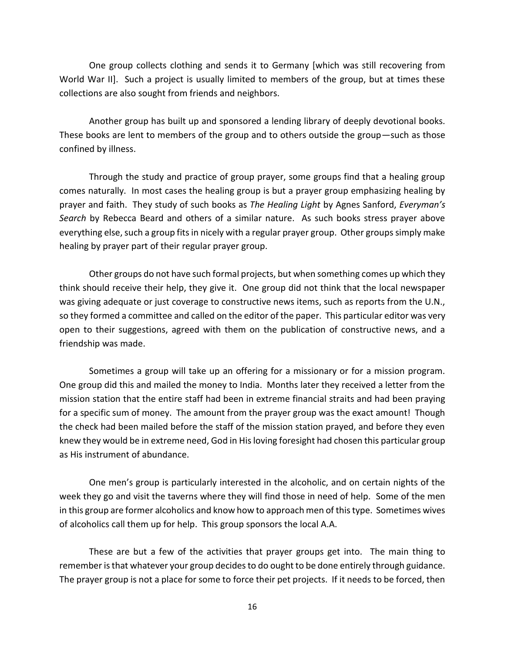One group collects clothing and sends it to Germany [which was still recovering from World War II]. Such a project is usually limited to members of the group, but at times these collections are also sought from friends and neighbors.

Another group has built up and sponsored a lending library of deeply devotional books. These books are lent to members of the group and to others outside the group—such as those confined by illness.

Through the study and practice of group prayer, some groups find that a healing group comes naturally. In most cases the healing group is but a prayer group emphasizing healing by prayer and faith. They study of such books as *The Healing Light* by Agnes Sanford, *Everyman's Search* by Rebecca Beard and others of a similar nature. As such books stress prayer above everything else, such a group fits in nicely with a regular prayer group. Other groups simply make healing by prayer part of their regular prayer group.

Other groups do not have such formal projects, but when something comes up which they think should receive their help, they give it. One group did not think that the local newspaper was giving adequate or just coverage to constructive news items, such as reports from the U.N., so they formed a committee and called on the editor of the paper. This particular editor was very open to their suggestions, agreed with them on the publication of constructive news, and a friendship was made.

Sometimes a group will take up an offering for a missionary or for a mission program. One group did this and mailed the money to India. Months later they received a letter from the mission station that the entire staff had been in extreme financial straits and had been praying for a specific sum of money. The amount from the prayer group was the exact amount! Though the check had been mailed before the staff of the mission station prayed, and before they even knew they would be in extreme need, God in His loving foresight had chosen this particular group as His instrument of abundance.

One men's group is particularly interested in the alcoholic, and on certain nights of the week they go and visit the taverns where they will find those in need of help. Some of the men in this group are former alcoholics and know how to approach men of this type. Sometimes wives of alcoholics call them up for help. This group sponsors the local A.A.

These are but a few of the activities that prayer groups get into. The main thing to remember is that whatever your group decides to do ought to be done entirely through guidance. The prayer group is not a place for some to force their pet projects. If it needs to be forced, then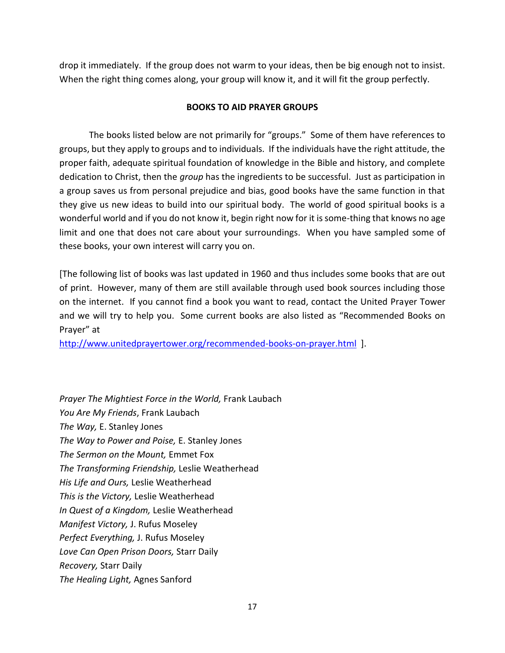drop it immediately. If the group does not warm to your ideas, then be big enough not to insist. When the right thing comes along, your group will know it, and it will fit the group perfectly.

## **BOOKS TO AID PRAYER GROUPS**

The books listed below are not primarily for "groups." Some of them have references to groups, but they apply to groups and to individuals. If the individuals have the right attitude, the proper faith, adequate spiritual foundation of knowledge in the Bible and history, and complete dedication to Christ, then the *group* has the ingredients to be successful. Just as participation in a group saves us from personal prejudice and bias, good books have the same function in that they give us new ideas to build into our spiritual body. The world of good spiritual books is a wonderful world and if you do not know it, begin right now for it is some-thing that knows no age limit and one that does not care about your surroundings. When you have sampled some of these books, your own interest will carry you on.

[The following list of books was last updated in 1960 and thus includes some books that are out of print. However, many of them are still available through used book sources including those on the internet. If you cannot find a book you want to read, contact the United Prayer Tower and we will try to help you. Some current books are also listed as "Recommended Books on Prayer" at

<http://www.unitedprayertower.org/recommended-books-on-prayer.html>].

*Prayer The Mightiest Force in the World,* Frank Laubach *You Are My Friends*, Frank Laubach *The Way,* E. Stanley Jones *The Way to Power and Poise,* E. Stanley Jones *The Sermon on the Mount,* Emmet Fox *The Transforming Friendship,* Leslie Weatherhead *His Life and Ours,* Leslie Weatherhead *This is the Victory,* Leslie Weatherhead *In Quest of a Kingdom,* Leslie Weatherhead *Manifest Victory,* J. Rufus Moseley *Perfect Everything,* J. Rufus Moseley *Love Can Open Prison Doors,* Starr Daily *Recovery,* Starr Daily *The Healing Light,* Agnes Sanford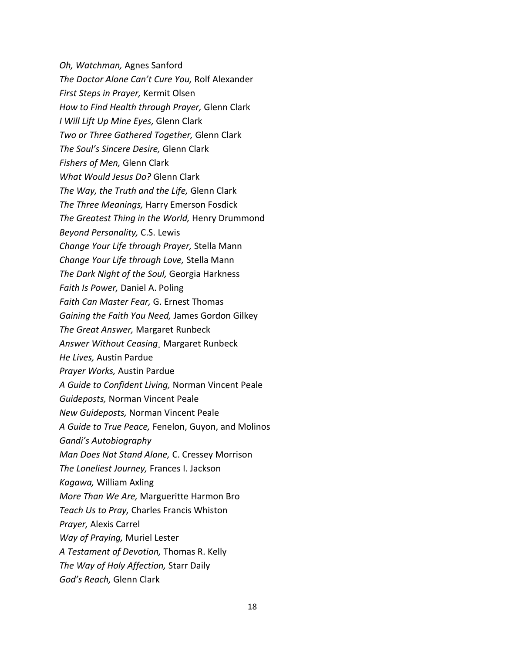*Oh, Watchman,* Agnes Sanford *The Doctor Alone Can't Cure You,* Rolf Alexander *First Steps in Prayer,* Kermit Olsen *How to Find Health through Prayer,* Glenn Clark *I Will Lift Up Mine Eyes,* Glenn Clark *Two or Three Gathered Together,* Glenn Clark *The Soul's Sincere Desire,* Glenn Clark *Fishers of Men,* Glenn Clark *What Would Jesus Do?* Glenn Clark *The Way, the Truth and the Life,* Glenn Clark *The Three Meanings,* Harry Emerson Fosdick *The Greatest Thing in the World,* Henry Drummond *Beyond Personality,* C.S. Lewis *Change Your Life through Prayer,* Stella Mann *Change Your Life through Love,* Stella Mann *The Dark Night of the Soul,* Georgia Harkness *Faith Is Power,* Daniel A. Poling *Faith Can Master Fear,* G. Ernest Thomas *Gaining the Faith You Need,* James Gordon Gilkey *The Great Answer,* Margaret Runbeck *Answer Without Ceasing¸* Margaret Runbeck *He Lives,* Austin Pardue *Prayer Works,* Austin Pardue *A Guide to Confident Living,* Norman Vincent Peale *Guideposts,* Norman Vincent Peale *New Guideposts,* Norman Vincent Peale *A Guide to True Peace,* Fenelon, Guyon, and Molinos *Gandi's Autobiography Man Does Not Stand Alone,* C. Cressey Morrison *The Loneliest Journey,* Frances I. Jackson *Kagawa,* William Axling *More Than We Are,* Margueritte Harmon Bro *Teach Us to Pray,* Charles Francis Whiston *Prayer,* Alexis Carrel *Way of Praying,* Muriel Lester *A Testament of Devotion,* Thomas R. Kelly *The Way of Holy Affection,* Starr Daily *God's Reach,* Glenn Clark